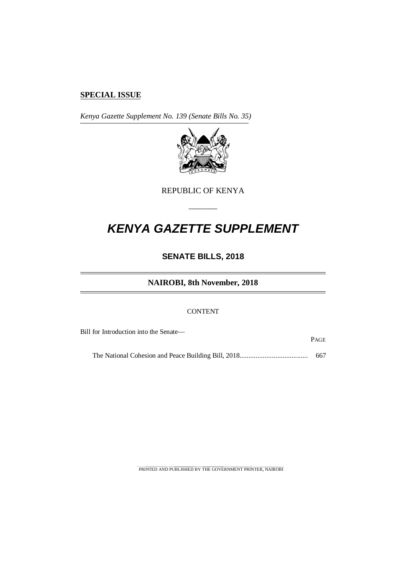# **SPECIAL ISSUE**

*Kenya Gazette Supplement No. 139 (Senate Bills No. 35)*



REPUBLIC OF KENYA

–––––––

# *KENYA GAZETTE SUPPLEMENT*

# **SENATE BILLS, 2018**

# **NAIROBI, 8th November, 2018**

#### **CONTENT**

Bill for Introduction into the Senate—

PAGE

The National Cohesion and Peace Building Bill, 2018...................................... 667

PRINTED AND PUBLISHED BY THE GOVERNMENT PRINTER, NAIROBI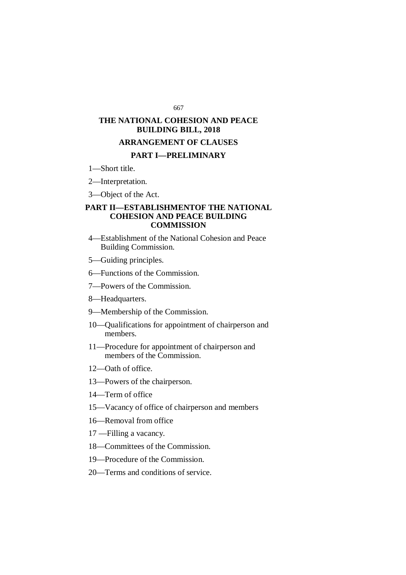#### 667

# **THE NATIONAL COHESION AND PEACE BUILDING BILL, 2018**

## **ARRANGEMENT OF CLAUSES**

# **PART I—PRELIMINARY**

1—Short title.

2—Interpretation.

3—Object of the Act.

#### **PART II—ESTABLISHMENTOF THE NATIONAL COHESION AND PEACE BUILDING COMMISSION**

- 4—Establishment of the National Cohesion and Peace Building Commission.
- 5—Guiding principles.
- 6—Functions of the Commission.
- 7—Powers of the Commission.
- 8—Headquarters.
- 9—Membership of the Commission.
- 10—Qualifications for appointment of chairperson and members.
- 11—Procedure for appointment of chairperson and members of the Commission.
- 12—Oath of office.
- 13—Powers of the chairperson.
- 14—Term of office
- 15—Vacancy of office of chairperson and members
- 16—Removal from office
- 17 —Filling a vacancy.
- 18—Committees of the Commission.
- 19—Procedure of the Commission.
- 20—Terms and conditions of service.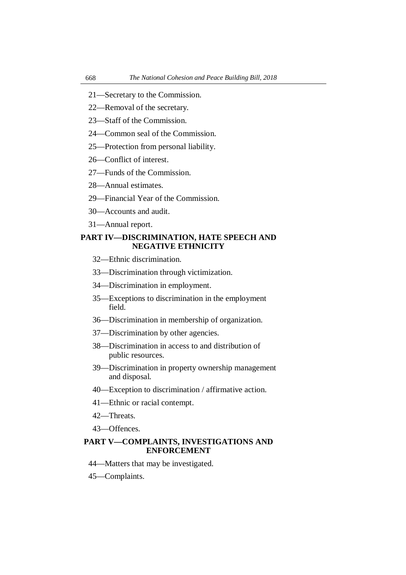- 21—Secretary to the Commission.
- 22—Removal of the secretary.
- 23—Staff of the Commission.
- 24—Common seal of the Commission.
- 25—Protection from personal liability.
- 26—Conflict of interest.
- 27—Funds of the Commission.
- 28—Annual estimates.
- 29—Financial Year of the Commission.
- 30—Accounts and audit.
- 31—Annual report.

#### **PART IV—DISCRIMINATION, HATE SPEECH AND NEGATIVE ETHNICITY**

- 32—Ethnic discrimination.
- 33—Discrimination through victimization.
- 34—Discrimination in employment.
- 35—Exceptions to discrimination in the employment field.
- 36—Discrimination in membership of organization.
- 37—Discrimination by other agencies.
- 38—Discrimination in access to and distribution of public resources.
- 39—Discrimination in property ownership management and disposal.
- 40—Exception to discrimination / affirmative action.
- 41—Ethnic or racial contempt.
- 42—Threats.
- 43—Offences.

# **PART V—COMPLAINTS, INVESTIGATIONS AND ENFORCEMENT**

- 44—Matters that may be investigated.
- 45—Complaints.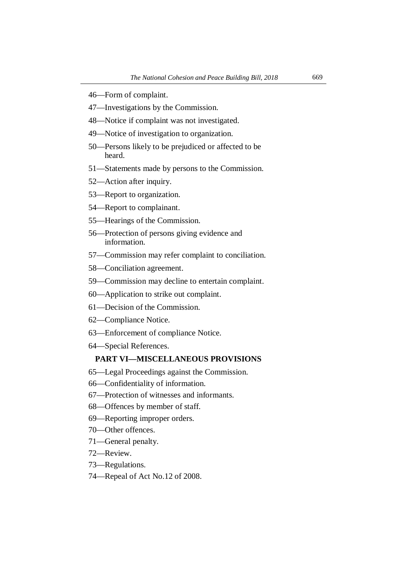- 46—Form of complaint.
- 47—Investigations by the Commission.
- 48—Notice if complaint was not investigated.
- 49—Notice of investigation to organization.
- 50—Persons likely to be prejudiced or affected to be heard.
- 51—Statements made by persons to the Commission.
- 52—Action after inquiry.
- 53—Report to organization.
- 54—Report to complainant.
- 55—Hearings of the Commission.
- 56—Protection of persons giving evidence and information.
- 57—Commission may refer complaint to conciliation.
- 58—Conciliation agreement.
- 59—Commission may decline to entertain complaint.
- 60—Application to strike out complaint.
- 61—Decision of the Commission.
- 62—Compliance Notice.
- 63—Enforcement of compliance Notice.
- 64—Special References.

#### **PART VI—MISCELLANEOUS PROVISIONS**

- 65—Legal Proceedings against the Commission.
- 66—Confidentiality of information.
- 67—Protection of witnesses and informants.
- 68—Offences by member of staff.
- 69—Reporting improper orders.
- 70—Other offences.
- 71—General penalty.
- 72—Review.
- 73—Regulations.
- 74—Repeal of Act No.12 of 2008.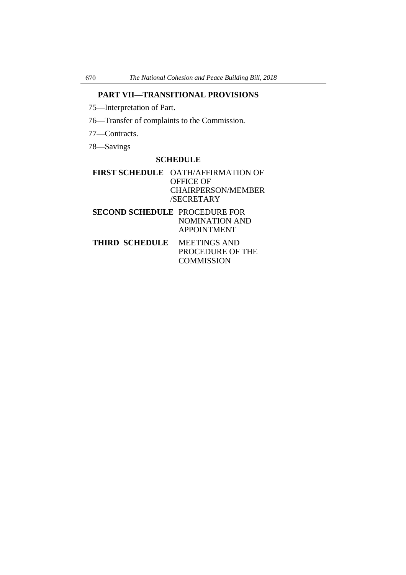# **PART VII—TRANSITIONAL PROVISIONS**

75—Interpretation of Part.

76—Transfer of complaints to the Commission.

77—Contracts.

78—Savings

#### **SCHEDULE**

# **FIRST SCHEDULE** OATH/AFFIRMATION OF OFFICE OF CHAIRPERSON/MEMBER /SECRETARY

**SECOND SCHEDULE** PROCEDURE FOR NOMINATION AND APPOINTMENT

**THIRD SCHEDULE** MEETINGS AND PROCEDURE OF THE **COMMISSION**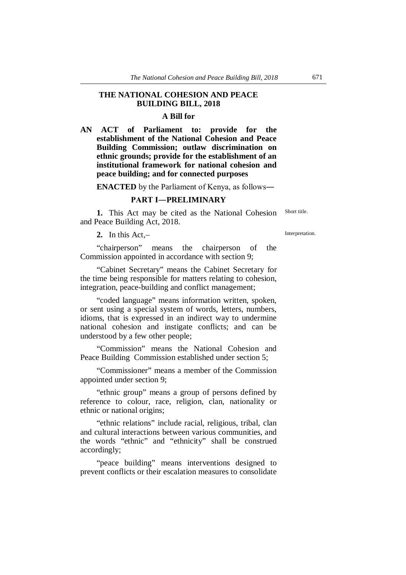#### **THE NATIONAL COHESION AND PEACE BUILDING BILL, 2018**

#### **A Bill for**

**AN ACT of Parliament to: provide for the establishment of the National Cohesion and Peace Building Commission; outlaw discrimination on ethnic grounds; provide for the establishment of an institutional framework for national cohesion and peace building; and for connected purposes**

**ENACTED** by the Parliament of Kenya, as follows―

### **PART I―PRELIMINARY**

**1.** This Act may be cited as the National Cohesion and Peace Building Act, 2018.

**2.** In this Act,–

"chairperson" means the chairperson of the Commission appointed in accordance with section 9;

"Cabinet Secretary" means the Cabinet Secretary for the time being responsible for matters relating to cohesion, integration, peace-building and conflict management;

"coded language" means information written, spoken, or sent using a special system of words, letters, numbers, idioms, that is expressed in an indirect way to undermine national cohesion and instigate conflicts; and can be understood by a few other people;

"Commission" means the National Cohesion and Peace Building Commission established under section 5;

"Commissioner" means a member of the Commission appointed under section 9;

"ethnic group" means a group of persons defined by reference to colour, race, religion, clan, nationality or ethnic or national origins;

"ethnic relations" include racial, religious, tribal, clan and cultural interactions between various communities, and the words "ethnic" and "ethnicity" shall be construed accordingly;

"peace building" means interventions designed to prevent conflicts or their escalation measures to consolidate

Short title.

Interpretation.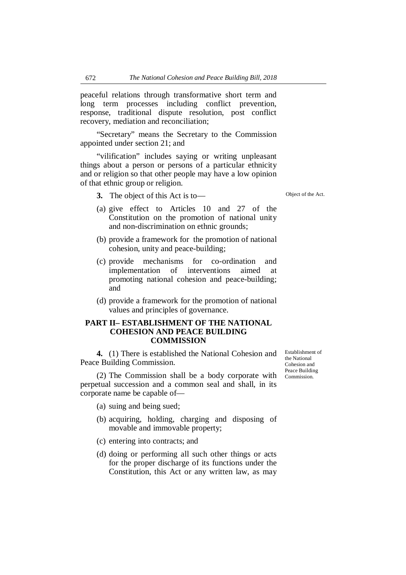peaceful relations through transformative short term and long term processes including conflict prevention, response, traditional dispute resolution, post conflict recovery, mediation and reconciliation;

"Secretary" means the Secretary to the Commission appointed under section 21; and

"vilification" includes saying or writing unpleasant things about a person or persons of a particular ethnicity and or religion so that other people may have a low opinion of that ethnic group or religion.

**3.** The object of this Act is to—

- (a) give effect to Articles 10 and 27 of the Constitution on the promotion of national unity and non-discrimination on ethnic grounds;
- (b) provide a framework for the promotion of national cohesion, unity and peace-building;
- (c) provide mechanisms for co-ordination and implementation of interventions aimed at promoting national cohesion and peace-building; and
- (d) provide a framework for the promotion of national values and principles of governance.

#### **PART II– ESTABLISHMENT OF THE NATIONAL COHESION AND PEACE BUILDING COMMISSION**

**4.** (1) There is established the National Cohesion and Peace Building Commission.

(2) The Commission shall be a body corporate with perpetual succession and a common seal and shall, in its corporate name be capable of—

- (a) suing and being sued;
- (b) acquiring, holding, charging and disposing of movable and immovable property;
- (c) entering into contracts; and
- (d) doing or performing all such other things or acts for the proper discharge of its functions under the Constitution, this Act or any written law, as may

Establishment of the National Cohesion and Peace Building Commission.

Object of the Act.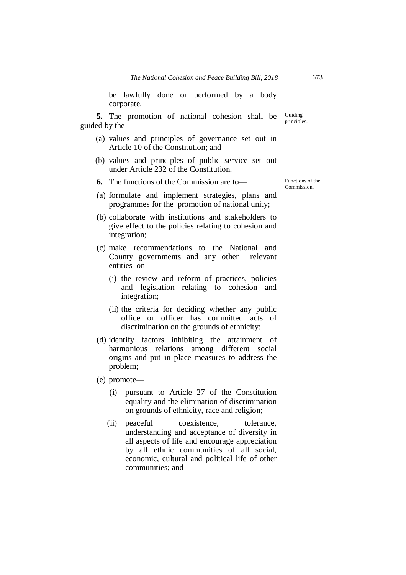be lawfully done or performed by a body corporate.

**5.** The promotion of national cohesion shall be guided by the— Guiding principles.

- (a) values and principles of governance set out in Article 10 of the Constitution; and
- (b) values and principles of public service set out under Article 232 of the Constitution.
- **6.** The functions of the Commission are to—
- (a) formulate and implement strategies, plans and programmes for the promotion of national unity;
- (b) collaborate with institutions and stakeholders to give effect to the policies relating to cohesion and integration;
- (c) make recommendations to the National and County governments and any other relevant entities on—
	- (i) the review and reform of practices, policies and legislation relating to cohesion and integration;
	- (ii) the criteria for deciding whether any public office or officer has committed acts of discrimination on the grounds of ethnicity;
- (d) identify factors inhibiting the attainment of harmonious relations among different social origins and put in place measures to address the problem;
- (e) promote—
	- (i) pursuant to Article 27 of the Constitution equality and the elimination of discrimination on grounds of ethnicity, race and religion;
	- (ii) peaceful coexistence, tolerance, understanding and acceptance of diversity in all aspects of life and encourage appreciation by all ethnic communities of all social, economic, cultural and political life of other communities; and

Functions of the Commission.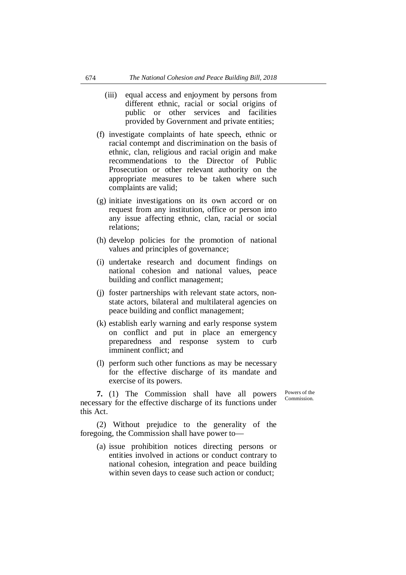- (iii) equal access and enjoyment by persons from different ethnic, racial or social origins of public or other services and facilities provided by Government and private entities;
- (f) investigate complaints of hate speech, ethnic or racial contempt and discrimination on the basis of ethnic, clan, religious and racial origin and make recommendations to the Director of Public Prosecution or other relevant authority on the appropriate measures to be taken where such complaints are valid;
- (g) initiate investigations on its own accord or on request from any institution, office or person into any issue affecting ethnic, clan, racial or social relations;
- (h) develop policies for the promotion of national values and principles of governance;
- (i) undertake research and document findings on national cohesion and national values, peace building and conflict management;
- (j) foster partnerships with relevant state actors, nonstate actors, bilateral and multilateral agencies on peace building and conflict management;
- (k) establish early warning and early response system on conflict and put in place an emergency preparedness and response system to curb imminent conflict; and
- (l) perform such other functions as may be necessary for the effective discharge of its mandate and exercise of its powers.

**7.** (1) The Commission shall have all powers necessary for the effective discharge of its functions under this Act.

Powers of the Commission.

(2) Without prejudice to the generality of the foregoing, the Commission shall have power to—

(a) issue prohibition notices directing persons or entities involved in actions or conduct contrary to national cohesion, integration and peace building within seven days to cease such action or conduct;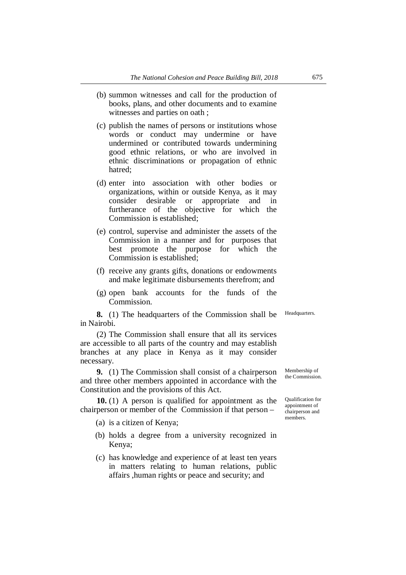- (b) summon witnesses and call for the production of books, plans, and other documents and to examine witnesses and parties on oath ;
- (c) publish the names of persons or institutions whose words or conduct may undermine or have undermined or contributed towards undermining good ethnic relations, or who are involved in ethnic discriminations or propagation of ethnic hatred;
- (d) enter into association with other bodies or organizations, within or outside Kenya, as it may consider desirable or appropriate and in furtherance of the objective for which the Commission is established;
- (e) control, supervise and administer the assets of the Commission in a manner and for purposes that best promote the purpose for which the Commission is established;
- (f) receive any grants gifts, donations or endowments and make legitimate disbursements therefrom; and
- (g) open bank accounts for the funds of the Commission.

**8.** (1) The headquarters of the Commission shall be in Nairobi.

(2) The Commission shall ensure that all its services are accessible to all parts of the country and may establish branches at any place in Kenya as it may consider necessary.

**9.** (1) The Commission shall consist of a chairperson and three other members appointed in accordance with the Constitution and the provisions of this Act.

**10.** (1) A person is qualified for appointment as the chairperson or member of the Commission if that person –

(a) is a citizen of Kenya;

- (b) holds a degree from a university recognized in Kenya;
- (c) has knowledge and experience of at least ten years in matters relating to human relations, public affairs ,human rights or peace and security; and

Membership of the Commission.

Qualification for appointment of chairperson and members.

Headquarters.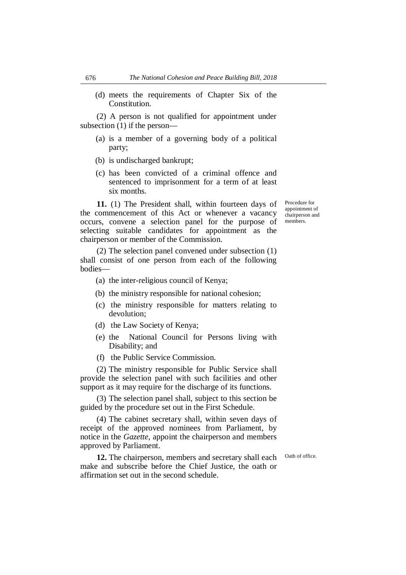(d) meets the requirements of Chapter Six of the Constitution.

(2) A person is not qualified for appointment under subsection (1) if the person—

- (a) is a member of a governing body of a political party;
- (b) is undischarged bankrupt;
- (c) has been convicted of a criminal offence and sentenced to imprisonment for a term of at least six months.

**11.** (1) The President shall, within fourteen days of the commencement of this Act or whenever a vacancy occurs, convene a selection panel for the purpose of selecting suitable candidates for appointment as the chairperson or member of the Commission.

(2) The selection panel convened under subsection (1) shall consist of one person from each of the following bodies—

- (a) the inter-religious council of Kenya;
- (b) the ministry responsible for national cohesion;
- (c) the ministry responsible for matters relating to devolution;
- (d) the Law Society of Kenya;
- (e) the National Council for Persons living with Disability; and
- (f) the Public Service Commission.

(2) The ministry responsible for Public Service shall provide the selection panel with such facilities and other support as it may require for the discharge of its functions.

(3) The selection panel shall, subject to this section be guided by the procedure set out in the First Schedule.

(4) The cabinet secretary shall, within seven days of receipt of the approved nominees from Parliament, by notice in the *Gazette,* appoint the chairperson and members approved by Parliament.

**12.** The chairperson, members and secretary shall each make and subscribe before the Chief Justice, the oath or affirmation set out in the second schedule.

Oath of office.

Procedure for appointment of chairperson and members.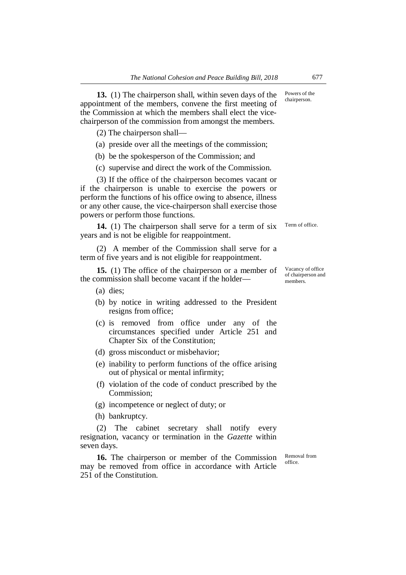**13.** (1) The chairperson shall, within seven days of the appointment of the members, convene the first meeting of the Commission at which the members shall elect the vicechairperson of the commission from amongst the members.

(2) The chairperson shall—

- (a) preside over all the meetings of the commission;
- (b) be the spokesperson of the Commission; and
- (c) supervise and direct the work of the Commission.

(3) If the office of the chairperson becomes vacant or if the chairperson is unable to exercise the powers or perform the functions of his office owing to absence, illness or any other cause, the vice-chairperson shall exercise those powers or perform those functions.

**14.** (1) The chairperson shall serve for a term of six years and is not be eligible for reappointment. Term of office.

(2) A member of the Commission shall serve for a term of five years and is not eligible for reappointment.

**15.** (1) The office of the chairperson or a member of the commission shall become vacant if the holder—

(a) dies;

- (b) by notice in writing addressed to the President resigns from office;
- (c) is removed from office under any of the circumstances specified under Article 251 and Chapter Six of the Constitution;
- (d) gross misconduct or misbehavior;
- (e) inability to perform functions of the office arising out of physical or mental infirmity;
- (f) violation of the code of conduct prescribed by the Commission;
- (g) incompetence or neglect of duty; or
- (h) bankruptcy.

(2) The cabinet secretary shall notify every resignation, vacancy or termination in the *Gazette* within seven days.

**16.** The chairperson or member of the Commission may be removed from office in accordance with Article 251 of the Constitution.

Removal from office.

Vacancy of office of chairperson and members.

Powers of the chairperson.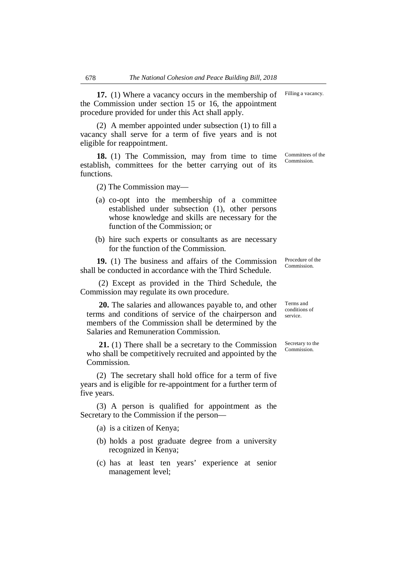**17.** (1) Where a vacancy occurs in the membership of the Commission under section 15 or 16, the appointment procedure provided for under this Act shall apply.

(2) A member appointed under subsection (1) to fill a vacancy shall serve for a term of five years and is not eligible for reappointment.

**18.** (1) The Commission, may from time to time establish, committees for the better carrying out of its functions.

(2) The Commission may—

- (a) co-opt into the membership of a committee established under subsection (1), other persons whose knowledge and skills are necessary for the function of the Commission; or
- (b) hire such experts or consultants as are necessary for the function of the Commission.

**19.** (1) The business and affairs of the Commission shall be conducted in accordance with the Third Schedule.

(2) Except as provided in the Third Schedule, the Commission may regulate its own procedure.

**20.** The salaries and allowances payable to, and other terms and conditions of service of the chairperson and members of the Commission shall be determined by the Salaries and Remuneration Commission.

**21.** (1) There shall be a secretary to the Commission who shall be competitively recruited and appointed by the Commission.

(2) The secretary shall hold office for a term of five years and is eligible for re-appointment for a further term of five years.

(3) A person is qualified for appointment as the Secretary to the Commission if the person—

(a) is a citizen of Kenya;

- (b) holds a post graduate degree from a university recognized in Kenya;
- (c) has at least ten years' experience at senior management level;

Terms and

Procedure of the Commission.

conditions of service.

Secretary to the Commission.

Committees of the Commission.

Filling a vacancy.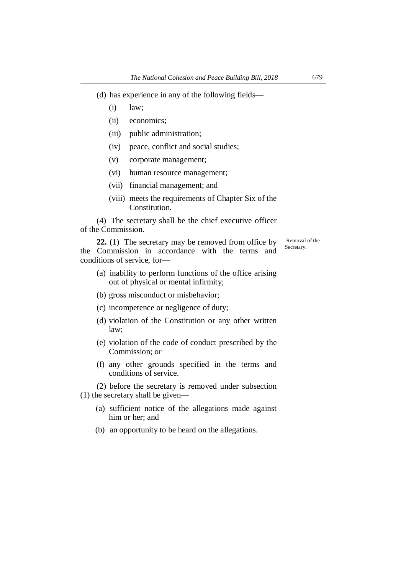- (d) has experience in any of the following fields—
	- (i) law;
	- (ii) economics;
	- (iii) public administration;
	- (iv) peace, conflict and social studies;
	- (v) corporate management;
	- (vi) human resource management;
	- (vii) financial management; and
	- (viii) meets the requirements of Chapter Six of the Constitution.

(4) The secretary shall be the chief executive officer of the Commission.

**22.** (1) The secretary may be removed from office by the Commission in accordance with the terms and conditions of service, for—

Removal of the Secretary.

- (a) inability to perform functions of the office arising out of physical or mental infirmity;
- (b) gross misconduct or misbehavior;
- (c) incompetence or negligence of duty;
- (d) violation of the Constitution or any other written law;
- (e) violation of the code of conduct prescribed by the Commission; or
- (f) any other grounds specified in the terms and conditions of service.

(2) before the secretary is removed under subsection (1) the secretary shall be given—

- (a) sufficient notice of the allegations made against him or her; and
- (b) an opportunity to be heard on the allegations.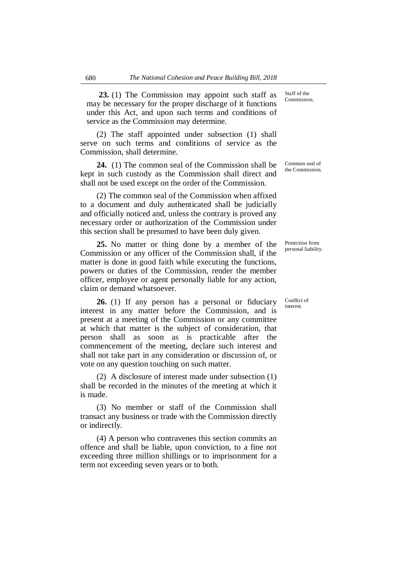**23.** (1) The Commission may appoint such staff as may be necessary for the proper discharge of it functions under this Act, and upon such terms and conditions of service as the Commission may determine.

(2) The staff appointed under subsection (1) shall serve on such terms and conditions of service as the Commission, shall determine.

**24.** (1) The common seal of the Commission shall be kept in such custody as the Commission shall direct and shall not be used except on the order of the Commission.

(2) The common seal of the Commission when affixed to a document and duly authenticated shall be judicially and officially noticed and, unless the contrary is proved any necessary order or authorization of the Commission under this section shall be presumed to have been duly given.

**25.** No matter or thing done by a member of the Commission or any officer of the Commission shall, if the matter is done in good faith while executing the functions, powers or duties of the Commission, render the member officer, employee or agent personally liable for any action, claim or demand whatsoever.

**26.** (1) If any person has a personal or fiduciary interest in any matter before the Commission, and is present at a meeting of the Commission or any committee at which that matter is the subject of consideration, that person shall as soon as is practicable after the commencement of the meeting, declare such interest and shall not take part in any consideration or discussion of, or vote on any question touching on such matter.

(2) A disclosure of interest made under subsection (1) shall be recorded in the minutes of the meeting at which it is made.

(3) No member or staff of the Commission shall transact any business or trade with the Commission directly or indirectly.

(4) A person who contravenes this section commits an offence and shall be liable, upon conviction, to a fine not exceeding three million shillings or to imprisonment for a term not exceeding seven years or to both.

Staff of the Commission.

Common seal of the Commission.

Protection from personal liability.

Conflict of interest.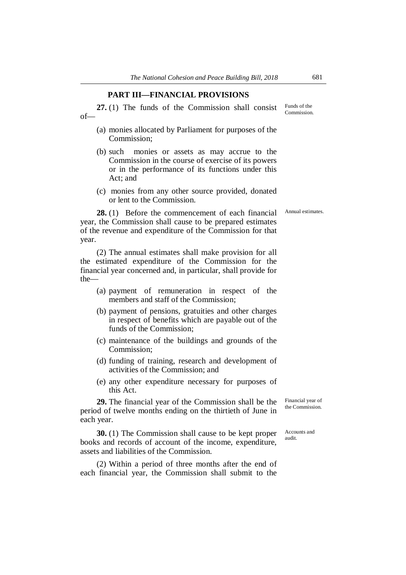#### **PART III—FINANCIAL PROVISIONS**

**27.** (1) The funds of the Commission shall consist of—

- (a) monies allocated by Parliament for purposes of the Commission;
- (b) such monies or assets as may accrue to the Commission in the course of exercise of its powers or in the performance of its functions under this Act; and
- (c) monies from any other source provided, donated or lent to the Commission.

Annual estimates.

**28.** (1) Before the commencement of each financial year, the Commission shall cause to be prepared estimates of the revenue and expenditure of the Commission for that year.

(2) The annual estimates shall make provision for all the estimated expenditure of the Commission for the financial year concerned and, in particular, shall provide for the—

- (a) payment of remuneration in respect of the members and staff of the Commission;
- (b) payment of pensions, gratuities and other charges in respect of benefits which are payable out of the funds of the Commission;
- (c) maintenance of the buildings and grounds of the Commission;
- (d) funding of training, research and development of activities of the Commission; and
- (e) any other expenditure necessary for purposes of this Act.

**29.** The financial year of the Commission shall be the period of twelve months ending on the thirtieth of June in each year.

**30.** (1) The Commission shall cause to be kept proper books and records of account of the income, expenditure, assets and liabilities of the Commission.

(2) Within a period of three months after the end of each financial year, the Commission shall submit to the

Financial year of the Commission.

Accounts and audit.

Funds of the Commission.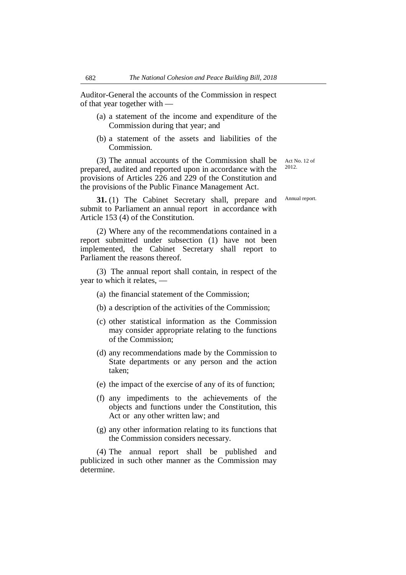Auditor-General the accounts of the Commission in respect of that year together with —

- (a) a statement of the income and expenditure of the Commission during that year; and
- (b) a statement of the assets and liabilities of the Commission.

(3) The annual accounts of the Commission shall be prepared, audited and reported upon in accordance with the provisions of Articles 226 and 229 of the Constitution and the provisions of the Public Finance Management Act.

**31.** (1) The Cabinet Secretary shall, prepare and submit to Parliament an annual report in accordance with Article 153 (4) of the Constitution.

(2) Where any of the recommendations contained in a report submitted under subsection (1) have not been implemented, the Cabinet Secretary shall report to Parliament the reasons thereof.

(3) The annual report shall contain, in respect of the year to which it relates, —

- (a) the financial statement of the Commission;
- (b) a description of the activities of the Commission;
- (c) other statistical information as the Commission may consider appropriate relating to the functions of the Commission;
- (d) any recommendations made by the Commission to State departments or any person and the action taken;
- (e) the impact of the exercise of any of its of function;
- (f) any impediments to the achievements of the objects and functions under the Constitution, this Act or any other written law; and
- (g) any other information relating to its functions that the Commission considers necessary.

(4) The annual report shall be published and publicized in such other manner as the Commission may determine.

Act No. 12 of 2012.

Annual report.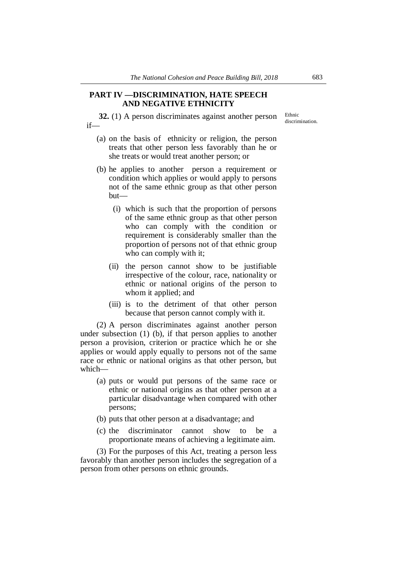#### **PART IV —DISCRIMINATION, HATE SPEECH AND NEGATIVE ETHNICITY**

**32.** (1) A person discriminates against another person if—

she treats or would treat another person; or

(a) on the basis of ethnicity or religion, the person treats that other person less favorably than he or

- (b) he applies to another person a requirement or condition which applies or would apply to persons not of the same ethnic group as that other person but—
	- (i) which is such that the proportion of persons of the same ethnic group as that other person who can comply with the condition or requirement is considerably smaller than the proportion of persons not of that ethnic group who can comply with it;
	- (ii) the person cannot show to be justifiable irrespective of the colour, race, nationality or ethnic or national origins of the person to whom it applied; and
	- (iii) is to the detriment of that other person because that person cannot comply with it.

(2) A person discriminates against another person under subsection (1) (b), if that person applies to another person a provision, criterion or practice which he or she applies or would apply equally to persons not of the same race or ethnic or national origins as that other person, but which—

- (a) puts or would put persons of the same race or ethnic or national origins as that other person at a particular disadvantage when compared with other persons;
- (b) puts that other person at a disadvantage; and
- (c) the discriminator cannot show to be a proportionate means of achieving a legitimate aim.

(3) For the purposes of this Act, treating a person less favorably than another person includes the segregation of a person from other persons on ethnic grounds.

Ethnic discrimination.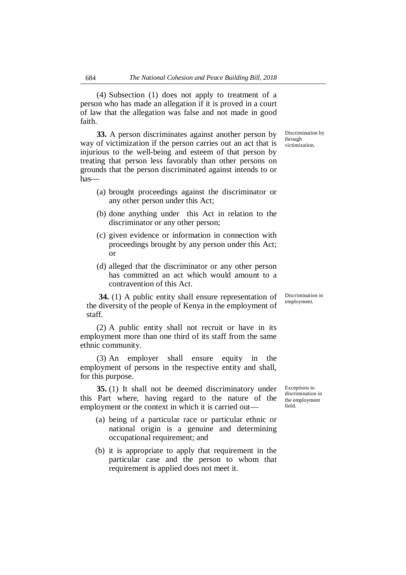(4) Subsection (1) does not apply to treatment of a person who has made an allegation if it is proved in a court of law that the allegation was false and not made in good faith.

**33.** A person discriminates against another person by way of victimization if the person carries out an act that is injurious to the well-being and esteem of that person by treating that person less favorably than other persons on grounds that the person discriminated against intends to or has—

- (a) brought proceedings against the discriminator or any other person under this Act;
- (b) done anything under this Act in relation to the discriminator or any other person;
- (c) given evidence or information in connection with proceedings brought by any person under this Act; or
- (d) alleged that the discriminator or any other person has committed an act which would amount to a contravention of this Act.

**34.** (1) A public entity shall ensure representation of the diversity of the people of Kenya in the employment of staff.

(2) A public entity shall not recruit or have in its employment more than one third of its staff from the same ethnic community.

(3) An employer shall ensure equity in the employment of persons in the respective entity and shall, for this purpose.

**35.** (1) It shall not be deemed discriminatory under this Part where, having regard to the nature of the employment or the context in which it is carried out—

- (a) being of a particular race or particular ethnic or national origin is a genuine and determining occupational requirement; and
- (b) it is appropriate to apply that requirement in the particular case and the person to whom that requirement is applied does not meet it.

Exceptions to discrimination in the employment field.

Discrimination in employment.

Discrimination by through victimization.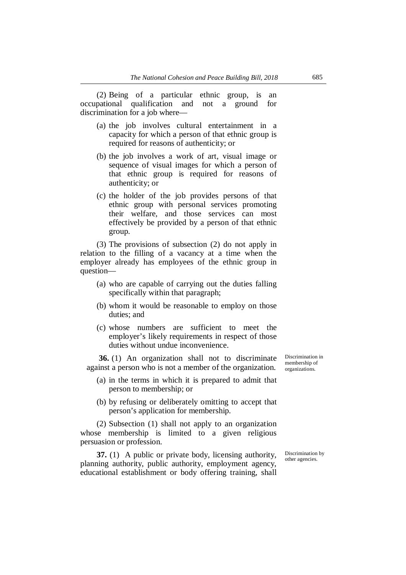(2) Being of a particular ethnic group, is an occupational qualification and not a ground for discrimination for a job where—

- (a) the job involves cultural entertainment in a capacity for which a person of that ethnic group is required for reasons of authenticity; or
- (b) the job involves a work of art, visual image or sequence of visual images for which a person of that ethnic group is required for reasons of authenticity; or
- (c) the holder of the job provides persons of that ethnic group with personal services promoting their welfare, and those services can most effectively be provided by a person of that ethnic group.

(3) The provisions of subsection (2) do not apply in relation to the filling of a vacancy at a time when the employer already has employees of the ethnic group in question—

- (a) who are capable of carrying out the duties falling specifically within that paragraph;
- (b) whom it would be reasonable to employ on those duties; and
- (c) whose numbers are sufficient to meet the employer's likely requirements in respect of those duties without undue inconvenience.

**36.** (1) An organization shall not to discriminate against a person who is not a member of the organization.

- (a) in the terms in which it is prepared to admit that person to membership; or
- (b) by refusing or deliberately omitting to accept that person's application for membership.

(2) Subsection (1) shall not apply to an organization whose membership is limited to a given religious persuasion or profession.

**37.** (1) A public or private body, licensing authority, planning authority, public authority, employment agency, educational establishment or body offering training, shall Discrimination in membership of organizations.

Discrimination by other agencies.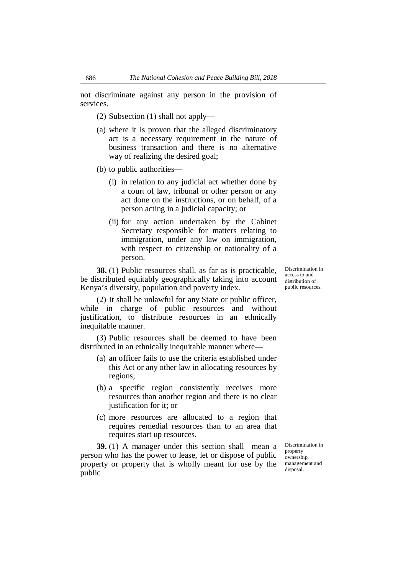not discriminate against any person in the provision of services.

(2) Subsection (1) shall not apply—

- (a) where it is proven that the alleged discriminatory act is a necessary requirement in the nature of business transaction and there is no alternative way of realizing the desired goal;
- (b) to public authorities—
	- (i) in relation to any judicial act whether done by a court of law, tribunal or other person or any act done on the instructions, or on behalf, of a person acting in a judicial capacity; or
	- (ii) for any action undertaken by the Cabinet Secretary responsible for matters relating to immigration, under any law on immigration, with respect to citizenship or nationality of a person.

**38.** (1) Public resources shall, as far as is practicable, be distributed equitably geographically taking into account Kenya's diversity, population and poverty index.

(2) It shall be unlawful for any State or public officer, while in charge of public resources and without justification, to distribute resources in an ethnically inequitable manner.

(3) Public resources shall be deemed to have been distributed in an ethnically inequitable manner where—

- (a) an officer fails to use the criteria established under this Act or any other law in allocating resources by regions;
- (b) a specific region consistently receives more resources than another region and there is no clear justification for it; or
- (c) more resources are allocated to a region that requires remedial resources than to an area that requires start up resources.

**39.** (1) A manager under this section shall mean a person who has the power to lease, let or dispose of public property or property that is wholly meant for use by the public

Discrimination in property ownership, management and disposal.

Discrimination in access to and distribution of public resources.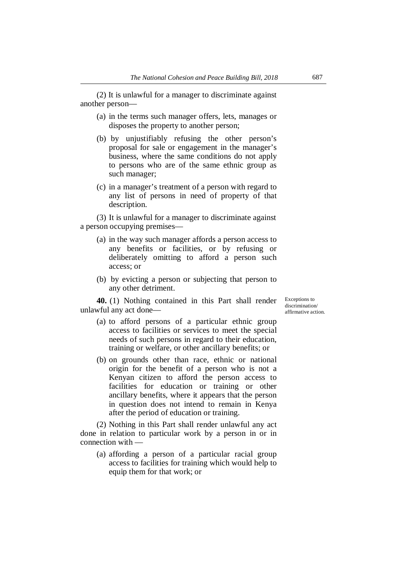(2) It is unlawful for a manager to discriminate against another person—

- (a) in the terms such manager offers, lets, manages or disposes the property to another person;
- (b) by unjustifiably refusing the other person's proposal for sale or engagement in the manager's business, where the same conditions do not apply to persons who are of the same ethnic group as such manager;
- (c) in a manager's treatment of a person with regard to any list of persons in need of property of that description.

(3) It is unlawful for a manager to discriminate against a person occupying premises—

- (a) in the way such manager affords a person access to any benefits or facilities, or by refusing or deliberately omitting to afford a person such access; or
- (b) by evicting a person or subjecting that person to any other detriment.

**40.** (1) Nothing contained in this Part shall render unlawful any act doneExceptions to discrimination/ affirmative action.

- (a) to afford persons of a particular ethnic group access to facilities or services to meet the special needs of such persons in regard to their education, training or welfare, or other ancillary benefits; or
- (b) on grounds other than race, ethnic or national origin for the benefit of a person who is not a Kenyan citizen to afford the person access to facilities for education or training or other ancillary benefits, where it appears that the person in question does not intend to remain in Kenya after the period of education or training.

(2) Nothing in this Part shall render unlawful any act done in relation to particular work by a person in or in connection with —

(a) affording a person of a particular racial group access to facilities for training which would help to equip them for that work; or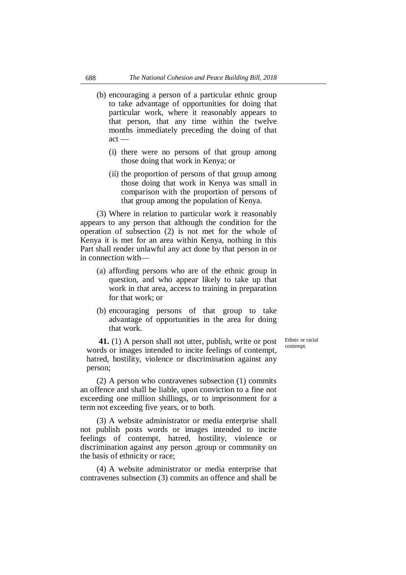- (b) encouraging a person of a particular ethnic group to take advantage of opportunities for doing that particular work, where it reasonably appears to that person, that any time within the twelve months immediately preceding the doing of that act —
	- (i) there were no persons of that group among those doing that work in Kenya; or
	- (ii) the proportion of persons of that group among those doing that work in Kenya was small in comparison with the proportion of persons of that group among the population of Kenya.

(3) Where in relation to particular work it reasonably appears to any person that although the condition for the operation of subsection (2) is not met for the whole of Kenya it is met for an area within Kenya, nothing in this Part shall render unlawful any act done by that person in or in connection with—

- (a) affording persons who are of the ethnic group in question, and who appear likely to take up that work in that area, access to training in preparation for that work; or
- (b) encouraging persons of that group to take advantage of opportunities in the area for doing that work.

Ethnic or racial contempt.

**41.** (1) A person shall not utter, publish, write or post words or images intended to incite feelings of contempt, hatred, hostility, violence or discrimination against any person;

(2) A person who contravenes subsection (1) commits an offence and shall be liable, upon conviction to a fine not exceeding one million shillings, or to imprisonment for a term not exceeding five years, or to both.

(3) A website administrator or media enterprise shall not publish posts words or images intended to incite feelings of contempt, hatred, hostility, violence or discrimination against any person ,group or community on the basis of ethnicity or race;

(4) A website administrator or media enterprise that contravenes subsection (3) commits an offence and shall be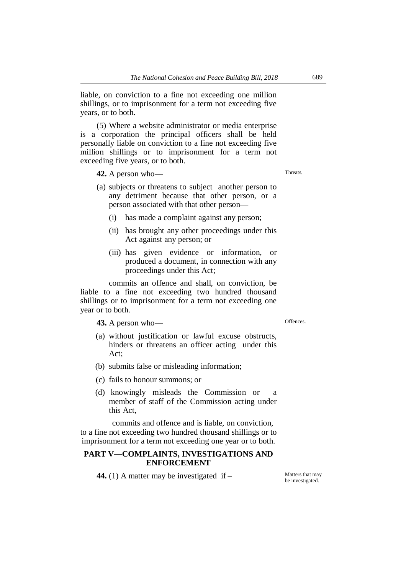liable, on conviction to a fine not exceeding one million shillings, or to imprisonment for a term not exceeding five years, or to both.

(5) Where a website administrator or media enterprise is a corporation the principal officers shall be held personally liable on conviction to a fine not exceeding five million shillings or to imprisonment for a term not exceeding five years, or to both.

**42.** A person who—

- (a) subjects or threatens to subject another person to any detriment because that other person, or a person associated with that other person—
	- (i) has made a complaint against any person;
	- (ii) has brought any other proceedings under this Act against any person; or
	- (iii) has given evidence or information, or produced a document, in connection with any proceedings under this Act;

commits an offence and shall, on conviction, be liable to a fine not exceeding two hundred thousand shillings or to imprisonment for a term not exceeding one year or to both.

**43.** A person who—

(a) without justification or lawful excuse obstructs, hinders or threatens an officer acting under this Act;

- (b) submits false or misleading information;
- (c) fails to honour summons; or
- (d) knowingly misleads the Commission or member of staff of the Commission acting under this Act,

commits and offence and is liable, on conviction, to a fine not exceeding two hundred thousand shillings or to imprisonment for a term not exceeding one year or to both.

# **PART V—COMPLAINTS, INVESTIGATIONS AND ENFORCEMENT**

**44.** (1) A matter may be investigated if – Matters that may

be investigated.

Offences.

**Threats**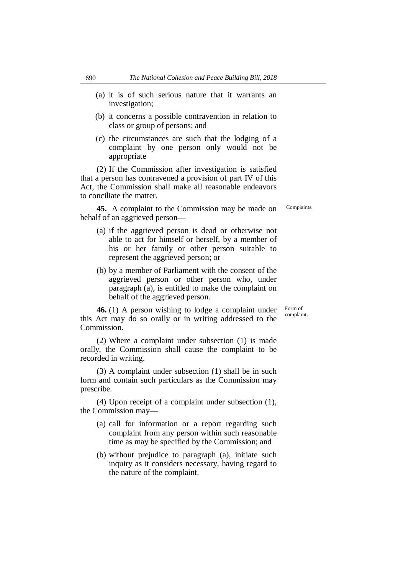- (a) it is of such serious nature that it warrants an investigation;
- (b) it concerns a possible contravention in relation to class or group of persons; and
- (c) the circumstances are such that the lodging of a complaint by one person only would not be appropriate

(2) If the Commission after investigation is satisfied that a person has contravened a provision of part IV of this Act, the Commission shall make all reasonable endeavors to conciliate the matter.

**45.** A complaint to the Commission may be made on behalf of an aggrieved person—

represent the aggrieved person; or

(a) if the aggrieved person is dead or otherwise not able to act for himself or herself, by a member of his or her family or other person suitable to

Complaints.

Form of complaint.

(b) by a member of Parliament with the consent of the aggrieved person or other person who, under paragraph (a), is entitled to make the complaint on behalf of the aggrieved person.

**46.** (1) A person wishing to lodge a complaint under this Act may do so orally or in writing addressed to the Commission.

(2) Where a complaint under subsection (1) is made orally, the Commission shall cause the complaint to be recorded in writing.

(3) A complaint under subsection (1) shall be in such form and contain such particulars as the Commission may prescribe.

(4) Upon receipt of a complaint under subsection (1), the Commission may—

- (a) call for information or a report regarding such complaint from any person within such reasonable time as may be specified by the Commission; and
- (b) without prejudice to paragraph (a), initiate such inquiry as it considers necessary, having regard to the nature of the complaint.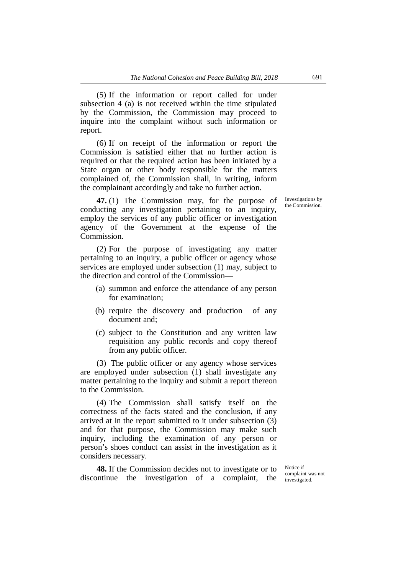(5) If the information or report called for under subsection 4 (a) is not received within the time stipulated by the Commission, the Commission may proceed to inquire into the complaint without such information or report.

(6) If on receipt of the information or report the Commission is satisfied either that no further action is required or that the required action has been initiated by a State organ or other body responsible for the matters complained of, the Commission shall, in writing, inform the complainant accordingly and take no further action.

**47.** (1) The Commission may, for the purpose of conducting any investigation pertaining to an inquiry, employ the services of any public officer or investigation agency of the Government at the expense of the Commission.

(2) For the purpose of investigating any matter pertaining to an inquiry, a public officer or agency whose services are employed under subsection (1) may, subject to the direction and control of the Commission—

- (a) summon and enforce the attendance of any person for examination;
- (b) require the discovery and production of any document and;
- (c) subject to the Constitution and any written law requisition any public records and copy thereof from any public officer.

(3) The public officer or any agency whose services are employed under subsection (1) shall investigate any matter pertaining to the inquiry and submit a report thereon to the Commission.

(4) The Commission shall satisfy itself on the correctness of the facts stated and the conclusion, if any arrived at in the report submitted to it under subsection (3) and for that purpose, the Commission may make such inquiry, including the examination of any person or person's shoes conduct can assist in the investigation as it considers necessary.

**48.** If the Commission decides not to investigate or to discontinue the investigation of a complaint, the

Notice if complaint was not investigated.

Investigations by the Commission.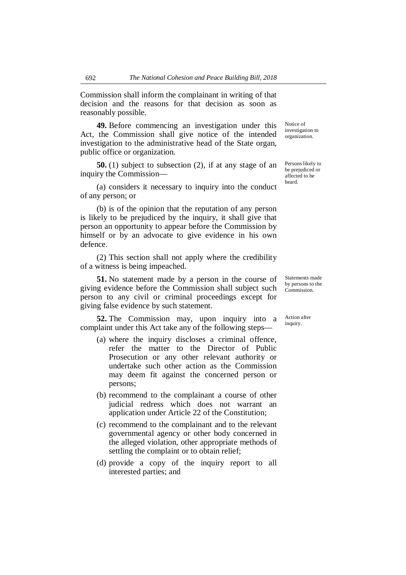Commission shall inform the complainant in writing of that decision and the reasons for that decision as soon as reasonably possible.

**49.** Before commencing an investigation under this Act, the Commission shall give notice of the intended investigation to the administrative head of the State organ, public office or organization.

**50.** (1) subject to subsection (2), if at any stage of an inquiry the Commission—

(a) considers it necessary to inquiry into the conduct of any person; or

(b) is of the opinion that the reputation of any person is likely to be prejudiced by the inquiry, it shall give that person an opportunity to appear before the Commission by himself or by an advocate to give evidence in his own defence.

(2) This section shall not apply where the credibility of a witness is being impeached.

**51.** No statement made by a person in the course of giving evidence before the Commission shall subject such person to any civil or criminal proceedings except for giving false evidence by such statement.

**52.** The Commission may, upon inquiry into a complaint under this Act take any of the following steps—

- (a) where the inquiry discloses a criminal offence, refer the matter to the Director of Public Prosecution or any other relevant authority or undertake such other action as the Commission may deem fit against the concerned person or persons;
- (b) recommend to the complainant a course of other judicial redress which does not warrant an application under Article 22 of the Constitution;
- (c) recommend to the complainant and to the relevant governmental agency or other body concerned in the alleged violation, other appropriate methods of settling the complaint or to obtain relief;
- (d) provide a copy of the inquiry report to all interested parties; and

Notice of investigation to organization.

Persons likely to be prejudiced or affected to be heard.

Statements made by persons to the Commission.

Action after inquiry.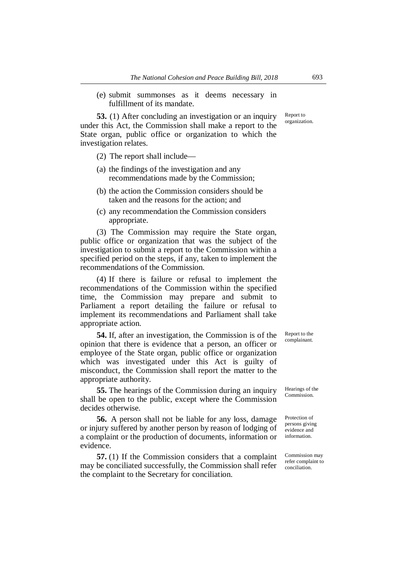(e) submit summonses as it deems necessary in fulfillment of its mandate.

**53.** (1) After concluding an investigation or an inquiry under this Act, the Commission shall make a report to the State organ, public office or organization to which the investigation relates.

(2) The report shall include—

- (a) the findings of the investigation and any recommendations made by the Commission;
- (b) the action the Commission considers should be taken and the reasons for the action; and
- (c) any recommendation the Commission considers appropriate.

(3) The Commission may require the State organ, public office or organization that was the subject of the investigation to submit a report to the Commission within a specified period on the steps, if any, taken to implement the recommendations of the Commission.

(4) If there is failure or refusal to implement the recommendations of the Commission within the specified time, the Commission may prepare and submit to Parliament a report detailing the failure or refusal to implement its recommendations and Parliament shall take appropriate action.

**54.** If, after an investigation, the Commission is of the opinion that there is evidence that a person, an officer or employee of the State organ, public office or organization which was investigated under this Act is guilty of misconduct, the Commission shall report the matter to the appropriate authority.

**55.** The hearings of the Commission during an inquiry shall be open to the public, except where the Commission decides otherwise.

**56.** A person shall not be liable for any loss, damage or injury suffered by another person by reason of lodging of a complaint or the production of documents, information or evidence.

**57.** (1) If the Commission considers that a complaint may be conciliated successfully, the Commission shall refer the complaint to the Secretary for conciliation.

Report to the complainant.

Hearings of the Commission.

Protection of persons giving evidence and information.

Commission may refer complaint to conciliation.

Report to organization.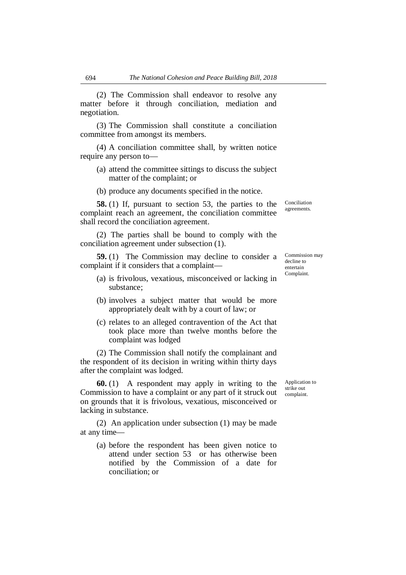(2) The Commission shall endeavor to resolve any matter before it through conciliation, mediation and negotiation.

(3) The Commission shall constitute a conciliation committee from amongst its members.

(4) A conciliation committee shall, by written notice require any person to—

- (a) attend the committee sittings to discuss the subject matter of the complaint; or
- (b) produce any documents specified in the notice.

**58.** (1) If, pursuant to section 53, the parties to the complaint reach an agreement, the conciliation committee shall record the conciliation agreement.

(2) The parties shall be bound to comply with the conciliation agreement under subsection (1).

**59.** (1) The Commission may decline to consider a complaint if it considers that a complaint—

- (a) is frivolous, vexatious, misconceived or lacking in substance;
- (b) involves a subject matter that would be more appropriately dealt with by a court of law; or
- (c) relates to an alleged contravention of the Act that took place more than twelve months before the complaint was lodged

(2) The Commission shall notify the complainant and the respondent of its decision in writing within thirty days after the complaint was lodged.

**60.** (1) A respondent may apply in writing to the Commission to have a complaint or any part of it struck out on grounds that it is frivolous, vexatious, misconceived or lacking in substance.

(2) An application under subsection (1) may be made at any time—

(a) before the respondent has been given notice to attend under section 53 or has otherwise been notified by the Commission of a date for conciliation; or

Conciliation agreements.

Commission may decline to entertain Complaint.

Application to strike out complaint.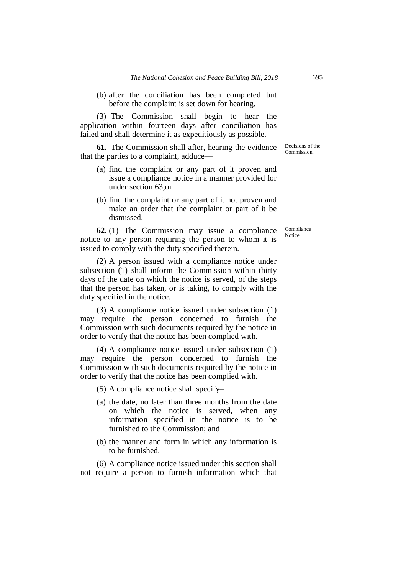(b) after the conciliation has been completed but before the complaint is set down for hearing.

(3) The Commission shall begin to hear the application within fourteen days after conciliation has failed and shall determine it as expeditiously as possible.

**61.** The Commission shall after, hearing the evidence that the parties to a complaint, adduce—

- (a) find the complaint or any part of it proven and issue a compliance notice in a manner provided for under section 63;or
- (b) find the complaint or any part of it not proven and make an order that the complaint or part of it be dismissed.

**62.** (1) The Commission may issue a compliance notice to any person requiring the person to whom it is issued to comply with the duty specified therein.

(2) A person issued with a compliance notice under subsection (1) shall inform the Commission within thirty days of the date on which the notice is served, of the steps that the person has taken, or is taking, to comply with the duty specified in the notice.

(3) A compliance notice issued under subsection (1) may require the person concerned to furnish the Commission with such documents required by the notice in order to verify that the notice has been complied with.

(4) A compliance notice issued under subsection (1) may require the person concerned to furnish the Commission with such documents required by the notice in order to verify that the notice has been complied with.

(5) A compliance notice shall specify–

- (a) the date, no later than three months from the date on which the notice is served, when any information specified in the notice is to be furnished to the Commission; and
- (b) the manner and form in which any information is to be furnished.

(6) A compliance notice issued under this section shall not require a person to furnish information which that

Decisions of the Commission.

Compliance Notice.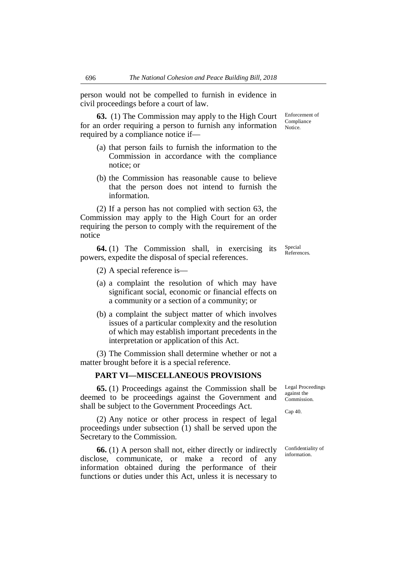person would not be compelled to furnish in evidence in civil proceedings before a court of law.

**63.** (1) The Commission may apply to the High Court for an order requiring a person to furnish any information required by a compliance notice if—

- (a) that person fails to furnish the information to the Commission in accordance with the compliance notice; or
- (b) the Commission has reasonable cause to believe that the person does not intend to furnish the information.

(2) If a person has not complied with section 63, the Commission may apply to the High Court for an order requiring the person to comply with the requirement of the notice

**64.** (1) The Commission shall, in exercising its powers, expedite the disposal of special references.

(2) A special reference is—

- (a) a complaint the resolution of which may have significant social, economic or financial effects on a community or a section of a community; or
- (b) a complaint the subject matter of which involves issues of a particular complexity and the resolution of which may establish important precedents in the interpretation or application of this Act.

(3) The Commission shall determine whether or not a matter brought before it is a special reference.

#### **PART VI—MISCELLANEOUS PROVISIONS**

**65.** (1) Proceedings against the Commission shall be deemed to be proceedings against the Government and shall be subject to the Government Proceedings Act.

(2) Any notice or other process in respect of legal proceedings under subsection (1) shall be served upon the Secretary to the Commission.

**66.** (1) A person shall not, either directly or indirectly disclose, communicate, or make a record of any information obtained during the performance of their functions or duties under this Act, unless it is necessary to

Legal Proceedings against the Commission.

Cap 40.

Confidentiality of information.

Enforcement of Compliance Notice.

Special References.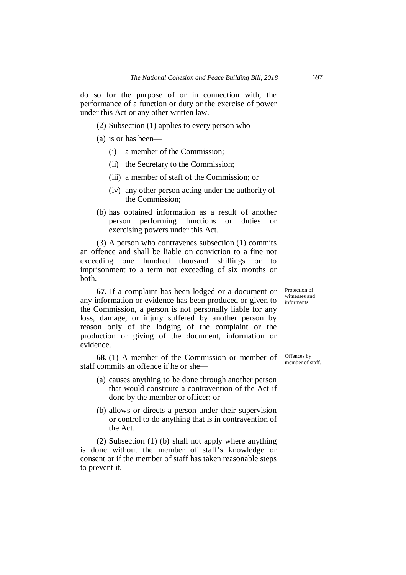do so for the purpose of or in connection with, the performance of a function or duty or the exercise of power under this Act or any other written law.

(2) Subsection (1) applies to every person who—

- (a) is or has been—
	- (i) a member of the Commission;
	- (ii) the Secretary to the Commission;
	- (iii) a member of staff of the Commission; or
	- (iv) any other person acting under the authority of the Commission;
- (b) has obtained information as a result of another person performing functions or duties or exercising powers under this Act.

(3) A person who contravenes subsection (1) commits an offence and shall be liable on conviction to a fine not exceeding one hundred thousand shillings or to imprisonment to a term not exceeding of six months or both.

**67.** If a complaint has been lodged or a document or any information or evidence has been produced or given to the Commission, a person is not personally liable for any loss, damage, or injury suffered by another person by reason only of the lodging of the complaint or the production or giving of the document, information or evidence.

**68.** (1) A member of the Commission or member of staff commits an offence if he or she—

- (a) causes anything to be done through another person that would constitute a contravention of the Act if done by the member or officer; or
- (b) allows or directs a person under their supervision or control to do anything that is in contravention of the Act.

(2) Subsection (1) (b) shall not apply where anything is done without the member of staff's knowledge or consent or if the member of staff has taken reasonable steps to prevent it.

Protection of witnesses and informants.

Offences by member of staff.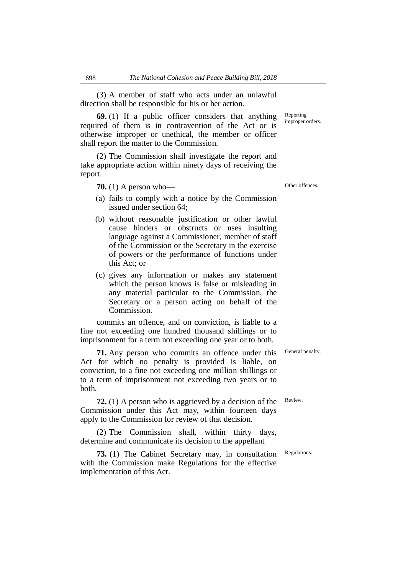(3) A member of staff who acts under an unlawful direction shall be responsible for his or her action.

**69.** (1) If a public officer considers that anything required of them is in contravention of the Act or is otherwise improper or unethical, the member or officer shall report the matter to the Commission.

(2) The Commission shall investigate the report and take appropriate action within ninety days of receiving the report.

**70.** (1) A person who—

- (a) fails to comply with a notice by the Commission issued under section 64;
- (b) without reasonable justification or other lawful cause hinders or obstructs or uses insulting language against a Commissioner, member of staff of the Commission or the Secretary in the exercise of powers or the performance of functions under this Act; or
- (c) gives any information or makes any statement which the person knows is false or misleading in any material particular to the Commission, the Secretary or a person acting on behalf of the Commission.

commits an offence, and on conviction, is liable to a fine not exceeding one hundred thousand shillings or to imprisonment for a term not exceeding one year or to both.

**71.** Any person who commits an offence under this Act for which no penalty is provided is liable, on conviction, to a fine not exceeding one million shillings or to a term of imprisonment not exceeding two years or to both.

**72.** (1) A person who is aggrieved by a decision of the Commission under this Act may, within fourteen days apply to the Commission for review of that decision.

(2) The Commission shall, within thirty days, determine and communicate its decision to the appellant

**73.** (1) The Cabinet Secretary may, in consultation with the Commission make Regulations for the effective implementation of this Act.

Other offences.

Reporting improper orders.

General penalty.

Review.

Regulations.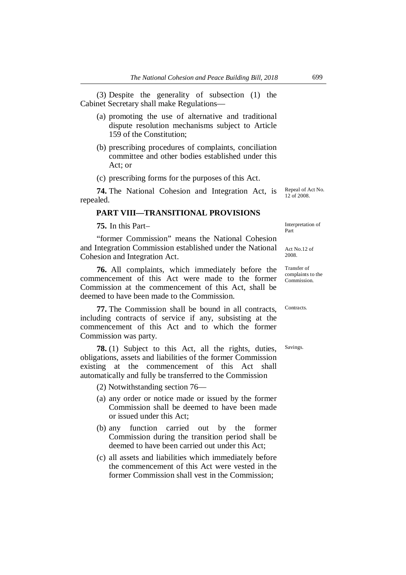(3) Despite the generality of subsection (1) the Cabinet Secretary shall make Regulations—

- (a) promoting the use of alternative and traditional dispute resolution mechanisms subject to Article 159 of the Constitution;
- (b) prescribing procedures of complaints, conciliation committee and other bodies established under this Act; or

(c) prescribing forms for the purposes of this Act.

**74.** The National Cohesion and Integration Act, is repealed.

# **PART VIII—TRANSITIONAL PROVISIONS**

**75.** In this Part–

"former Commission" means the National Cohesion and Integration Commission established under the National Cohesion and Integration Act.

**76.** All complaints, which immediately before the commencement of this Act were made to the former Commission at the commencement of this Act, shall be deemed to have been made to the Commission.

**77.** The Commission shall be bound in all contracts, including contracts of service if any, subsisting at the commencement of this Act and to which the former Commission was party.

**78.** (1) Subject to this Act, all the rights, duties, obligations, assets and liabilities of the former Commission existing at the commencement of this Act shall automatically and fully be transferred to the Commission

(2) Notwithstanding section 76—

- (a) any order or notice made or issued by the former Commission shall be deemed to have been made or issued under this Act;
- (b) any function carried out by the former Commission during the transition period shall be deemed to have been carried out under this Act;
- (c) all assets and liabilities which immediately before the commencement of this Act were vested in the former Commission shall vest in the Commission;

Repeal of Act No. 12 of 2008.

Interpretation of Part

Act No.12 of 2008.

Transfer of complaints to the Commission.

**Contracts** 

Savings.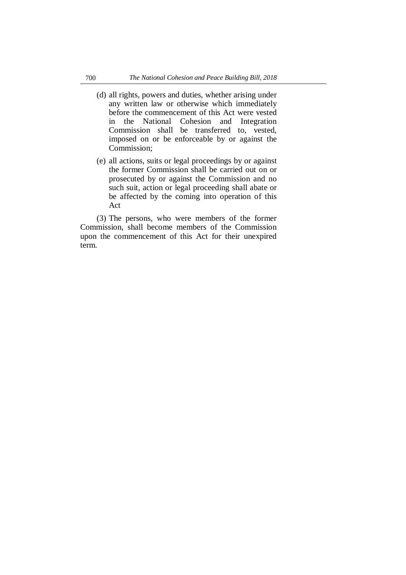- (d) all rights, powers and duties, whether arising under any written law or otherwise which immediately before the commencement of this Act were vested in the National Cohesion and Integration Commission shall be transferred to, vested, imposed on or be enforceable by or against the Commission;
- (e) all actions, suits or legal proceedings by or against the former Commission shall be carried out on or prosecuted by or against the Commission and no such suit, action or legal proceeding shall abate or be affected by the coming into operation of this Act

(3) The persons, who were members of the former Commission, shall become members of the Commission upon the commencement of this Act for their unexpired term.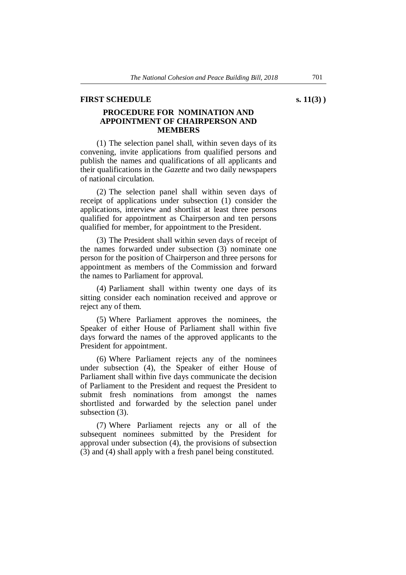#### **FIRST SCHEDULE** s. 11(3) )

#### **PROCEDURE FOR NOMINATION AND APPOINTMENT OF CHAIRPERSON AND MEMBERS**

(1) The selection panel shall, within seven days of its convening, invite applications from qualified persons and publish the names and qualifications of all applicants and their qualifications in the *Gazette* and two daily newspapers of national circulation.

(2) The selection panel shall within seven days of receipt of applications under subsection (1) consider the applications, interview and shortlist at least three persons qualified for appointment as Chairperson and ten persons qualified for member, for appointment to the President.

(3) The President shall within seven days of receipt of the names forwarded under subsection (3) nominate one person for the position of Chairperson and three persons for appointment as members of the Commission and forward the names to Parliament for approval.

(4) Parliament shall within twenty one days of its sitting consider each nomination received and approve or reject any of them.

(5) Where Parliament approves the nominees, the Speaker of either House of Parliament shall within five days forward the names of the approved applicants to the President for appointment.

(6) Where Parliament rejects any of the nominees under subsection (4), the Speaker of either House of Parliament shall within five days communicate the decision of Parliament to the President and request the President to submit fresh nominations from amongst the names shortlisted and forwarded by the selection panel under subsection (3).

(7) Where Parliament rejects any or all of the subsequent nominees submitted by the President for approval under subsection (4), the provisions of subsection (3) and (4) shall apply with a fresh panel being constituted.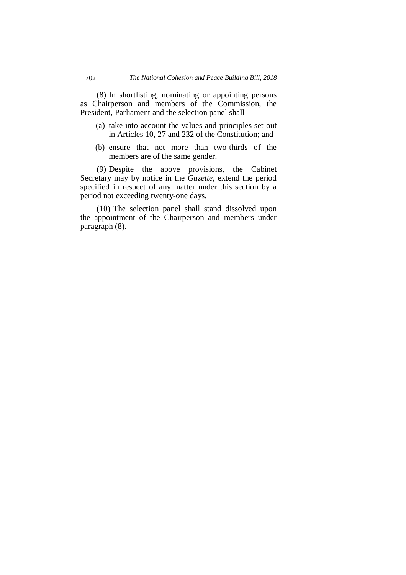(8) In shortlisting, nominating or appointing persons as Chairperson and members of the Commission, the President, Parliament and the selection panel shall—

- (a) take into account the values and principles set out in Articles 10, 27 and 232 of the Constitution; and
- (b) ensure that not more than two-thirds of the members are of the same gender.

(9) Despite the above provisions, the Cabinet Secretary may by notice in the *Gazette,* extend the period specified in respect of any matter under this section by a period not exceeding twenty-one days.

(10) The selection panel shall stand dissolved upon the appointment of the Chairperson and members under paragraph (8).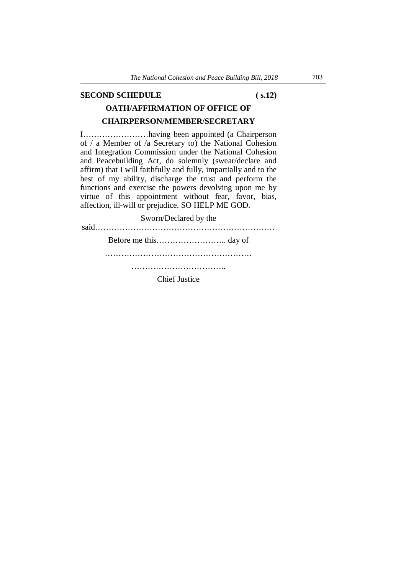#### **SECOND SCHEDULE** ( s.12)

# **OATH/AFFIRMATION OF OFFICE OF CHAIRPERSON/MEMBER/SECRETARY**

I……………………having been appointed (a Chairperson of / a Member of /a Secretary to) the National Cohesion and Integration Commission under the National Cohesion and Peacebuilding Act, do solemnly (swear/declare and affirm) that I will faithfully and fully, impartially and to the best of my ability, discharge the trust and perform the functions and exercise the powers devolving upon me by virtue of this appointment without fear, favor, bias, affection, ill-will or prejudice. SO HELP ME GOD.

Sworn/Declared by the said………………………………………………………… Before me this…………………….. day of ……………………………………………… ……………………………..

Chief Justice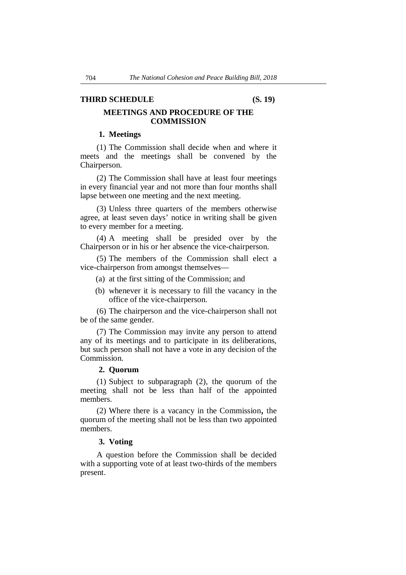#### **THIRD SCHEDULE (S. 19)**

#### **MEETINGS AND PROCEDURE OF THE COMMISSION**

#### **1. Meetings**

(1) The Commission shall decide when and where it meets and the meetings shall be convened by the Chairperson.

(2) The Commission shall have at least four meetings in every financial year and not more than four months shall lapse between one meeting and the next meeting.

(3) Unless three quarters of the members otherwise agree, at least seven days' notice in writing shall be given to every member for a meeting.

(4) A meeting shall be presided over by the Chairperson or in his or her absence the vice-chairperson.

(5) The members of the Commission shall elect a vice-chairperson from amongst themselves—

- (a) at the first sitting of the Commission; and
- (b) whenever it is necessary to fill the vacancy in the office of the vice-chairperson.

(6) The chairperson and the vice-chairperson shall not be of the same gender.

(7) The Commission may invite any person to attend any of its meetings and to participate in its deliberations, but such person shall not have a vote in any decision of the Commission.

#### **2. Quorum**

(1) Subject to subparagraph (2), the quorum of the meeting shall not be less than half of the appointed members.

(2) Where there is a vacancy in the Commission, the quorum of the meeting shall not be less than two appointed members.

#### **3. Voting**

A question before the Commission shall be decided with a supporting vote of at least two-thirds of the members present.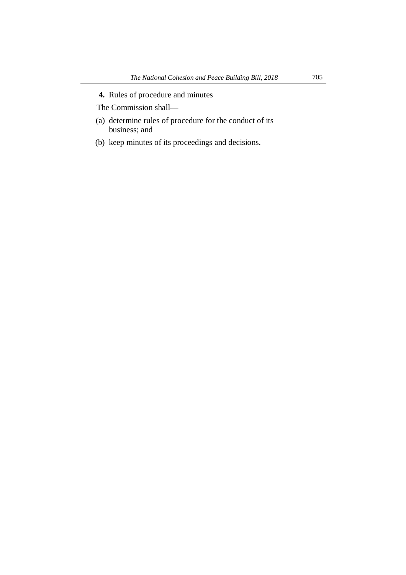**4.** Rules of procedure and minutes

The Commission shall—

- (a) determine rules of procedure for the conduct of its business; and
- (b) keep minutes of its proceedings and decisions.